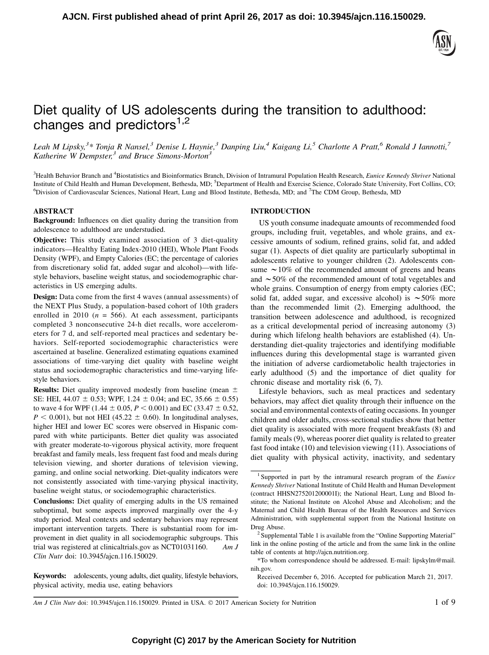

# Diet quality of US adolescents during the transition to adulthood: changes and predictors $1,2$

Leah M Lipsky,<sup>3\*</sup> Tonja R Nansel,<sup>3</sup> Denise L Haynie,<sup>3</sup> Danping Liu,<sup>4</sup> Kaigang Li,<sup>5</sup> Charlotte A Pratt,<sup>6</sup> Ronald J Iannotti,<sup>7</sup> Katherine W Dempster,<sup>3</sup> and Bruce Simons-Morton<sup>3</sup>

<sup>3</sup> Health Behavior Branch and <sup>4</sup> Biostatistics and Bioinformatics Branch, Division of Intramural Population Health Research, Eunice Kennedy Shriver National Institute of Child Health and Human Development, Bethesda, MD; <sup>5</sup>Department of Health and Exercise Science, Colorado State University, Fort Collins, CO;<br><sup>6</sup>Division of Cardiovascular Sciences, National Heart Jung and Bloo Division of Cardiovascular Sciences, National Heart, Lung and Blood Institute, Bethesda, MD; and <sup>7</sup>The CDM Group, Bethesda, MD

## ABSTRACT

Background: Influences on diet quality during the transition from adolescence to adulthood are understudied.

Objective: This study examined association of 3 diet-quality indicators—Healthy Eating Index-2010 (HEI), Whole Plant Foods Density (WPF), and Empty Calories (EC; the percentage of calories from discretionary solid fat, added sugar and alcohol)—with lifestyle behaviors, baseline weight status, and sociodemographic characteristics in US emerging adults.

Design: Data come from the first 4 waves (annual assessments) of the NEXT Plus Study, a population-based cohort of 10th graders enrolled in 2010 ( $n = 566$ ). At each assessment, participants completed 3 nonconsecutive 24-h diet recalls, wore accelerometers for 7 d, and self-reported meal practices and sedentary behaviors. Self-reported sociodemographic characteristics were ascertained at baseline. Generalized estimating equations examined associations of time-varying diet quality with baseline weight status and sociodemographic characteristics and time-varying lifestyle behaviors.

**Results:** Diet quality improved modestly from baseline (mean  $\pm$ SE: HEI, 44.07  $\pm$  0.53; WPF, 1.24  $\pm$  0.04; and EC, 35.66  $\pm$  0.55) to wave 4 for WPF (1.44  $\pm$  0.05, P < 0.001) and EC (33.47  $\pm$  0.52,  $P < 0.001$ ), but not HEI (45.22  $\pm$  0.60). In longitudinal analyses, higher HEI and lower EC scores were observed in Hispanic compared with white participants. Better diet quality was associated with greater moderate-to-vigorous physical activity, more frequent breakfast and family meals, less frequent fast food and meals during television viewing, and shorter durations of television viewing, gaming, and online social networking. Diet-quality indicators were not consistently associated with time-varying physical inactivity, baseline weight status, or sociodemographic characteristics.

Conclusions: Diet quality of emerging adults in the US remained suboptimal, but some aspects improved marginally over the 4-y study period. Meal contexts and sedentary behaviors may represent important intervention targets. There is substantial room for improvement in diet quality in all sociodemographic subgroups. This trial was registered at clinicaltrials.gov as NCT01031160. Am J Clin Nutr doi: 10.3945/ajcn.116.150029.

Keywords: adolescents, young adults, diet quality, lifestyle behaviors, physical activity, media use, eating behaviors

## INTRODUCTION

US youth consume inadequate amounts of recommended food groups, including fruit, vegetables, and whole grains, and excessive amounts of sodium, refined grains, solid fat, and added sugar (1). Aspects of diet quality are particularly suboptimal in adolescents relative to younger children (2). Adolescents consume  $\sim$  10% of the recommended amount of greens and beans and  $\sim$  50% of the recommended amount of total vegetables and whole grains. Consumption of energy from empty calories (EC; solid fat, added sugar, and excessive alcohol) is  $\sim$  50% more than the recommended limit (2). Emerging adulthood, the transition between adolescence and adulthood, is recognized as a critical developmental period of increasing autonomy (3) during which lifelong health behaviors are established (4). Understanding diet-quality trajectories and identifying modifiable influences during this developmental stage is warranted given the initiation of adverse cardiometabolic health trajectories in early adulthood (5) and the importance of diet quality for chronic disease and mortality risk (6, 7).

Lifestyle behaviors, such as meal practices and sedentary behaviors, may affect diet quality through their influence on the social and environmental contexts of eating occasions. In younger children and older adults, cross-sectional studies show that better diet quality is associated with more frequent breakfasts (8) and family meals (9), whereas poorer diet quality is related to greater fast food intake (10) and television viewing (11). Associations of diet quality with physical activity, inactivity, and sedentary

Am J Clin Nutr doi: 10.3945/ajcn.116.150029. Printed in USA.  $\odot$  2017 American Society for Nutrition 1 of 9

<sup>&</sup>lt;sup>1</sup> Supported in part by the intramural research program of the *Eunice* Kennedy Shriver National Institute of Child Health and Human Development (contract HHSN275201200001I); the National Heart, Lung and Blood Institute; the National Institute on Alcohol Abuse and Alcoholism; and the Maternal and Child Health Bureau of the Health Resources and Services Administration, with supplemental support from the National Institute on Drug Abuse.<br><sup>2</sup> Supplemental Table 1 is available from the "Online Supporting Material"

link in the online posting of the article and from the same link in the online table of contents at http://ajcn.nutrition.org.

<sup>\*</sup>To whom correspondence should be addressed. E-mail: lipskylm@mail. nih.gov.

Received December 6, 2016. Accepted for publication March 21, 2017. doi: 10.3945/ajcn.116.150029.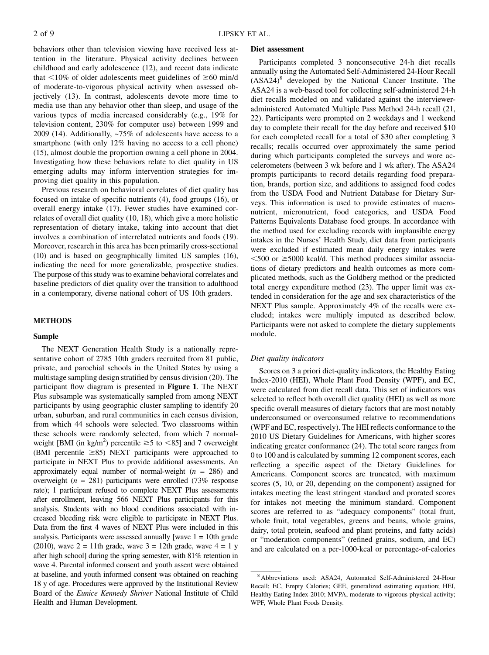behaviors other than television viewing have received less attention in the literature. Physical activity declines between childhood and early adolescence (12), and recent data indicate that  $\leq 10\%$  of older adolescents meet guidelines of  $\geq 60$  min/d of moderate-to-vigorous physical activity when assessed objectively (13). In contrast, adolescents devote more time to media use than any behavior other than sleep, and usage of the various types of media increased considerably (e.g., 19% for television content, 230% for computer use) between 1999 and 2009 (14). Additionally, ~75% of adolescents have access to a smartphone (with only 12% having no access to a cell phone) (15), almost double the proportion owning a cell phone in 2004. Investigating how these behaviors relate to diet quality in US emerging adults may inform intervention strategies for improving diet quality in this population.

Previous research on behavioral correlates of diet quality has focused on intake of specific nutrients (4), food groups (16), or overall energy intake (17). Fewer studies have examined correlates of overall diet quality (10, 18), which give a more holistic representation of dietary intake, taking into account that diet involves a combination of interrelated nutrients and foods (19). Moreover, research in this area has been primarily cross-sectional (10) and is based on geographically limited US samples (16), indicating the need for more generalizable, prospective studies. The purpose of this study was to examine behavioral correlates and baseline predictors of diet quality over the transition to adulthood in a contemporary, diverse national cohort of US 10th graders.

## METHODS

# Sample

The NEXT Generation Health Study is a nationally representative cohort of 2785 10th graders recruited from 81 public, private, and parochial schools in the United States by using a multistage sampling design stratified by census division (20). The participant flow diagram is presented in Figure 1. The NEXT Plus subsample was systematically sampled from among NEXT participants by using geographic cluster sampling to identify 20 urban, suburban, and rural communities in each census division, from which 44 schools were selected. Two classrooms within these schools were randomly selected, from which 7 normalweight [BMI (in kg/m<sup>2</sup>) percentile  $\geq$ 5 to <85] and 7 overweight (BMI percentile  $\geq$ 85) NEXT participants were approached to participate in NEXT Plus to provide additional assessments. An approximately equal number of normal-weight  $(n = 286)$  and overweight ( $n = 281$ ) participants were enrolled (73% response rate); 1 participant refused to complete NEXT Plus assessments after enrollment, leaving 566 NEXT Plus participants for this analysis. Students with no blood conditions associated with increased bleeding risk were eligible to participate in NEXT Plus. Data from the first 4 waves of NEXT Plus were included in this analysis. Participants were assessed annually [wave  $1 = 10$ th grade (2010), wave  $2 = 11$ th grade, wave  $3 = 12$ th grade, wave  $4 = 1$  y after high school] during the spring semester, with 81% retention in wave 4. Parental informed consent and youth assent were obtained at baseline, and youth informed consent was obtained on reaching 18 y of age. Procedures were approved by the Institutional Review Board of the Eunice Kennedy Shriver National Institute of Child Health and Human Development.

#### Diet assessment

Participants completed 3 nonconsecutive 24-h diet recalls annually using the Automated Self-Administered 24-Hour Recall  $(ASA24)^8$  developed by the National Cancer Institute. The ASA24 is a web-based tool for collecting self-administered 24-h diet recalls modeled on and validated against the intervieweradministered Automated Multiple Pass Method 24-h recall (21, 22). Participants were prompted on 2 weekdays and 1 weekend day to complete their recall for the day before and received \$10 for each completed recall for a total of \$30 after completing 3 recalls; recalls occurred over approximately the same period during which participants completed the surveys and wore accelerometers (between 3 wk before and 1 wk after). The ASA24 prompts participants to record details regarding food preparation, brands, portion size, and additions to assigned food codes from the USDA Food and Nutrient Database for Dietary Surveys. This information is used to provide estimates of macronutrient, micronutrient, food categories, and USDA Food Patterns Equivalents Database food groups. In accordance with the method used for excluding records with implausible energy intakes in the Nurses' Health Study, diet data from participants were excluded if estimated mean daily energy intakes were  $<$  500 or  $\geq$  5000 kcal/d. This method produces similar associations of dietary predictors and health outcomes as more complicated methods, such as the Goldberg method or the predicted total energy expenditure method (23). The upper limit was extended in consideration for the age and sex characteristics of the NEXT Plus sample. Approximately 4% of the recalls were excluded; intakes were multiply imputed as described below. Participants were not asked to complete the dietary supplements module.

## Diet quality indicators

Scores on 3 a priori diet-quality indicators, the Healthy Eating Index-2010 (HEI), Whole Plant Food Density (WPF), and EC, were calculated from diet recall data. This set of indicators was selected to reflect both overall diet quality (HEI) as well as more specific overall measures of dietary factors that are most notably underconsumed or overconsumed relative to recommendations (WPF and EC, respectively). The HEI reflects conformance to the 2010 US Dietary Guidelines for Americans, with higher scores indicating greater conformance (24). The total score ranges from 0 to 100 and is calculated by summing 12 component scores, each reflecting a specific aspect of the Dietary Guidelines for Americans. Component scores are truncated, with maximum scores (5, 10, or 20, depending on the component) assigned for intakes meeting the least stringent standard and prorated scores for intakes not meeting the minimum standard. Component scores are referred to as "adequacy components" (total fruit, whole fruit, total vegetables, greens and beans, whole grains, dairy, total protein, seafood and plant proteins, and fatty acids) or "moderation components" (refined grains, sodium, and EC) and are calculated on a per-1000-kcal or percentage-of-calories

<sup>8</sup> Abbreviations used: ASA24, Automated Self-Administered 24-Hour Recall; EC, Empty Calories; GEE, generalized estimating equation; HEI, Healthy Eating Index-2010; MVPA, moderate-to-vigorous physical activity; WPF, Whole Plant Foods Density.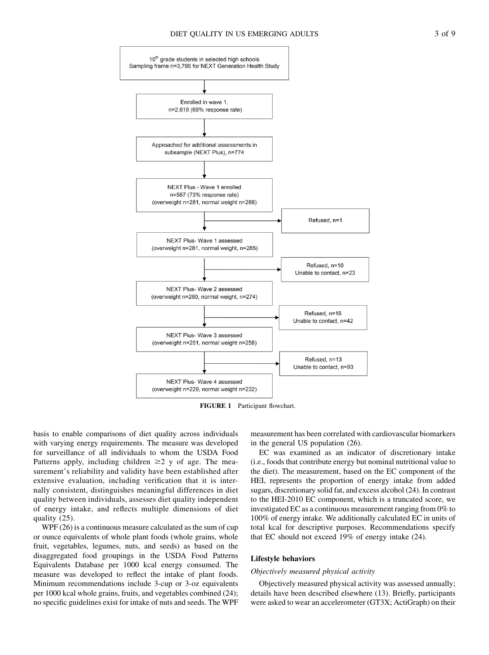

FIGURE 1 Participant flowchart.

basis to enable comparisons of diet quality across individuals with varying energy requirements. The measure was developed for surveillance of all individuals to whom the USDA Food Patterns apply, including children  $\geq 2$  y of age. The measurement's reliability and validity have been established after extensive evaluation, including verification that it is internally consistent, distinguishes meaningful differences in diet quality between individuals, assesses diet quality independent of energy intake, and reflects multiple dimensions of diet quality (25).

WPF (26) is a continuous measure calculated as the sum of cup or ounce equivalents of whole plant foods (whole grains, whole fruit, vegetables, legumes, nuts, and seeds) as based on the disaggregated food groupings in the USDA Food Patterns Equivalents Database per 1000 kcal energy consumed. The measure was developed to reflect the intake of plant foods. Minimum recommendations include 3-cup or 3-oz equivalents per 1000 kcal whole grains, fruits, and vegetables combined (24); no specific guidelines exist for intake of nuts and seeds. The WPF

measurement has been correlated with cardiovascular biomarkers in the general US population (26).

EC was examined as an indicator of discretionary intake (i.e., foods that contribute energy but nominal nutritional value to the diet). The measurement, based on the EC component of the HEI, represents the proportion of energy intake from added sugars, discretionary solid fat, and excess alcohol (24). In contrast to the HEI-2010 EC component, which is a truncated score, we investigated EC as a continuous measurement ranging from 0% to 100% of energy intake. We additionally calculated EC in units of total kcal for descriptive purposes. Recommendations specify that EC should not exceed 19% of energy intake (24).

## Lifestyle behaviors

#### Objectively measured physical activity

Objectively measured physical activity was assessed annually; details have been described elsewhere (13). Briefly, participants were asked to wear an accelerometer (GT3X; ActiGraph) on their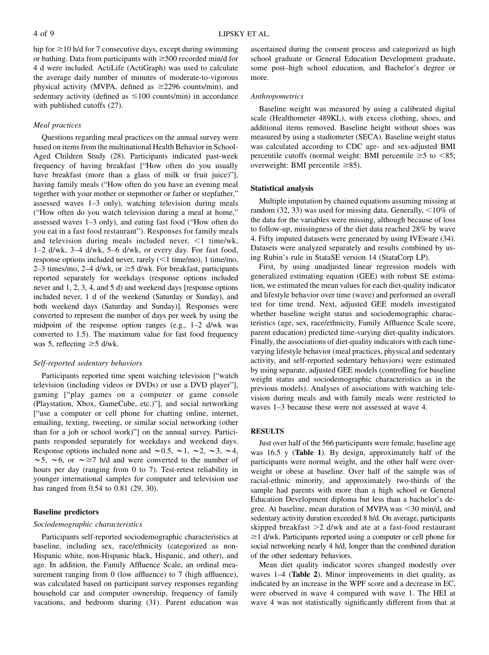hip for  $\geq$  10 h/d for 7 consecutive days, except during swimming or bathing. Data from participants with  $\geq$  500 recorded min/d for 4 d were included. ActiLife (ActiGraph) was used to calculate the average daily number of minutes of moderate-to-vigorous physical activity (MVPA, defined as  $\geq$ 2296 counts/min), and sedentary activity (defined as  $\leq 100$  counts/min) in accordance with published cutoffs (27).

## Meal practices

Questions regarding meal practices on the annual survey were based on items from the multinational Health Behavior in School-Aged Children Study (28). Participants indicated past-week frequency of having breakfast ["How often do you usually have breakfast (more than a glass of milk or fruit juice)"], having family meals ("How often do you have an evening meal together with your mother or stepmother or father or stepfather," assessed waves 1–3 only), watching television during meals ("How often do you watch television during a meal at home," assessed waves 1–3 only), and eating fast food ("How often do you eat in a fast food restaurant"). Responses for family meals and television during meals included never,  $\leq 1$  time/wk, 1–2 d/wk, 3–4 d/wk, 5–6 d/wk, or every day. For fast food, response options included never, rarely  $(<1$  time/mo), 1 time/mo, 2–3 times/mo, 2–4 d/wk, or  $\geq$ 5 d/wk. For breakfast, participants reported separately for weekdays (response options included never and 1, 2, 3, 4, and 5 d) and weekend days [response options included never, 1 d of the weekend (Saturday or Sunday), and both weekend days (Saturday and Sunday)]. Responses were converted to represent the number of days per week by using the midpoint of the response option ranges (e.g., 1–2 d/wk was converted to 1.5). The maximum value for fast food frequency was 5, reflecting  $\geq$  5 d/wk.

## Self-reported sedentary behaviors

Participants reported time spent watching television ["watch television (including videos or DVDs) or use a DVD player"], gaming ["play games on a computer or game console (Playstation, Xbox, GameCube, etc.)"], and social networking ["use a computer or cell phone for chatting online, internet, emailing, texting, tweeting, or similar social networking (other than for a job or school work)"] on the annual survey. Participants responded separately for weekdays and weekend days. Response options included none and  $\sim 0.5$ ,  $\sim 1$ ,  $\sim 2$ ,  $\sim 3$ ,  $\sim 4$ ,  $\sim$  5,  $\sim$  6, or  $\sim$   $\geq$  7 h/d and were converted to the number of hours per day (ranging from 0 to 7). Test-retest reliability in younger international samples for computer and television use has ranged from 0.54 to 0.81 (29, 30).

## Baseline predictors

#### Sociodemographic characteristics

Participants self-reported sociodemographic characteristics at baseline, including sex, race/ethnicity (categorized as non-Hispanic white, non-Hispanic black, Hispanic, and other), and age. In addition, the Family Affluence Scale, an ordinal measurement ranging from 0 (low affluence) to 7 (high affluence), was calculated based on participant survey responses regarding household car and computer ownership, frequency of family vacations, and bedroom sharing (31). Parent education was

ascertained during the consent process and categorized as high school graduate or General Education Development graduate, some post–high school education, and Bachelor's degree or more.

## Anthropometrics

Baseline weight was measured by using a calibrated digital scale (Healthometer 489KL), with excess clothing, shoes, and additional items removed. Baseline height without shoes was measured by using a stadiometer (SECA). Baseline weight status was calculated according to CDC age- and sex-adjusted BMI percentile cutoffs (normal weight: BMI percentile  $\geq 5$  to  $\lt 85$ ; overweight: BMI percentile  $\geq$ 85).

## Statistical analysis

Multiple imputation by chained equations assuming missing at random (32, 33) was used for missing data. Generally,  $\leq 10\%$  of the data for the variables were missing, although because of loss to follow-up, missingness of the diet data reached 28% by wave 4. Fifty imputed datasets were generated by using IVEware (34). Datasets were analyzed separately and results combined by using Rubin's rule in StataSE version 14 (StataCorp LP).

First, by using unadjusted linear regression models with generalized estimating equation (GEE) with robust SE estimation, we estimated the mean values for each diet-quality indicator and lifestyle behavior over time (wave) and performed an overall test for time trend. Next, adjusted GEE models investigated whether baseline weight status and sociodemographic characteristics (age, sex, race/ethnicity, Family Affluence Scale score, parent education) predicted time-varying diet-quality indicators. Finally, the associations of diet-quality indicators with each timevarying lifestyle behavior (meal practices, physical and sedentary activity, and self-reported sedentary behaviors) were estimated by using separate, adjusted GEE models (controlling for baseline weight status and sociodemographic characteristics as in the previous models). Analyses of associations with watching television during meals and with family meals were restricted to waves 1–3 because these were not assessed at wave 4.

## RESULTS

Just over half of the 566 participants were female; baseline age was 16.5 y (Table 1). By design, approximately half of the participants were normal weight, and the other half were overweight or obese at baseline. Over half of the sample was of racial-ethnic minority, and approximately two-thirds of the sample had parents with more than a high school or General Education Development diploma but less than a bachelor's degree. At baseline, mean duration of MVPA was  $\leq$ 30 min/d, and sedentary activity duration exceeded 8 h/d. On average, participants skipped breakfast  $>2$  d/wk and ate at a fast-food restaurant  $\geq$  1 d/wk. Participants reported using a computer or cell phone for social networking nearly 4 h/d, longer than the combined duration of the other sedentary behaviors.

Mean diet quality indicator scores changed modestly over waves 1–4 (Table 2). Minor improvements in diet quality, as indicated by an increase in the WPF score and a decrease in EC, were observed in wave 4 compared with wave 1. The HEI at wave 4 was not statistically significantly different from that at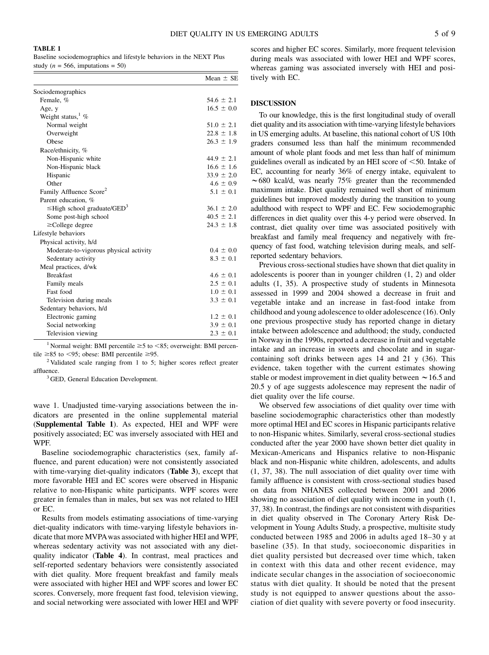#### TABLE 1

Baseline sociodemographics and lifestyle behaviors in the NEXT Plus study ( $n = 566$ , imputations = 50)

|                                              | Mean $\pm$ SE  |
|----------------------------------------------|----------------|
| Sociodemographics                            |                |
| Female, %                                    | $54.6 \pm 2.1$ |
| Age, y                                       | $16.5 \pm 0.0$ |
| Weight status, $\frac{1}{6}$ %               |                |
| Normal weight                                | $51.0 \pm 2.1$ |
| Overweight                                   | $22.8 \pm 1.8$ |
| Obese                                        | $26.3 \pm 1.9$ |
| Race/ethnicity, %                            |                |
| Non-Hispanic white                           | $44.9 \pm 2.1$ |
| Non-Hispanic black                           | $16.6 \pm 1.6$ |
| Hispanic                                     | $33.9 \pm 2.0$ |
| Other                                        | $4.6 \pm 0.9$  |
| Family Affluence Score <sup>2</sup>          | $5.1 \pm 0.1$  |
| Parent education, %                          |                |
| $\leq$ High school graduate/GED <sup>3</sup> | $36.1 \pm 2.0$ |
| Some post-high school                        | $40.5 \pm 2.1$ |
| $\geq$ College degree                        | $24.3 \pm 1.8$ |
| Lifestyle behaviors                          |                |
| Physical activity, h/d                       |                |
| Moderate-to-vigorous physical activity       | $0.4 \pm 0.0$  |
| Sedentary activity                           | $8.3 \pm 0.1$  |
| Meal practices, d/wk                         |                |
| <b>Breakfast</b>                             | $4.6 \pm 0.1$  |
| Family meals                                 | $2.5 \pm 0.1$  |
| Fast food                                    | $1.0 \pm 0.1$  |
| Television during meals                      | $3.3 \pm 0.1$  |
| Sedentary behaviors, h/d                     |                |
| Electronic gaming                            | $1.2 \pm 0.1$  |
| Social networking                            | $3.9 \pm 0.1$  |
| Television viewing                           | $2.3 \pm 0.1$  |

<sup>1</sup> Normal weight: BMI percentile  $\geq$ 5 to <85; overweight: BMI percentile  $\geq$ 85 to <95; obese: BMI percentile  $\geq$ 95. <sup>2</sup> Validated scale ranging from 1 to 5; higher scores reflect greater

affluence.<br><sup>3</sup> GED, General Education Development.

wave 1. Unadjusted time-varying associations between the indicators are presented in the online supplemental material (Supplemental Table 1). As expected, HEI and WPF were positively associated; EC was inversely associated with HEI and WPF.

Baseline sociodemographic characteristics (sex, family affluence, and parent education) were not consistently associated with time-varying diet-quality indicators (**Table 3**), except that more favorable HEI and EC scores were observed in Hispanic relative to non-Hispanic white participants. WPF scores were greater in females than in males, but sex was not related to HEI or EC.

Results from models estimating associations of time-varying diet-quality indicators with time-varying lifestyle behaviors indicate that more MVPAwas associated with higher HEI and WPF, whereas sedentary activity was not associated with any dietquality indicator (Table 4). In contrast, meal practices and self-reported sedentary behaviors were consistently associated with diet quality. More frequent breakfast and family meals were associated with higher HEI and WPF scores and lower EC scores. Conversely, more frequent fast food, television viewing, and social networking were associated with lower HEI and WPF scores and higher EC scores. Similarly, more frequent television during meals was associated with lower HEI and WPF scores, whereas gaming was associated inversely with HEI and positively with EC.

## DISCUSSION

To our knowledge, this is the first longitudinal study of overall diet quality and its association with time-varying lifestyle behaviors in US emerging adults. At baseline, this national cohort of US 10th graders consumed less than half the minimum recommended amount of whole plant foods and met less than half of minimum guidelines overall as indicated by an HEI score of  $<$  50. Intake of EC, accounting for nearly 36% of energy intake, equivalent to  $\sim$  680 kcal/d, was nearly 75% greater than the recommended maximum intake. Diet quality remained well short of minimum guidelines but improved modestly during the transition to young adulthood with respect to WPF and EC. Few sociodemographic differences in diet quality over this 4-y period were observed. In contrast, diet quality over time was associated positively with breakfast and family meal frequency and negatively with frequency of fast food, watching television during meals, and selfreported sedentary behaviors.

Previous cross-sectional studies have shown that diet quality in adolescents is poorer than in younger children (1, 2) and older adults (1, 35). A prospective study of students in Minnesota assessed in 1999 and 2004 showed a decrease in fruit and vegetable intake and an increase in fast-food intake from childhood and young adolescence to older adolescence (16). Only one previous prospective study has reported change in dietary intake between adolescence and adulthood; the study, conducted in Norway in the 1990s, reported a decrease in fruit and vegetable intake and an increase in sweets and chocolate and in sugarcontaining soft drinks between ages 14 and 21 y (36). This evidence, taken together with the current estimates showing stable or modest improvement in diet quality between  $\sim$  16.5 and 20.5 y of age suggests adolescence may represent the nadir of diet quality over the life course.

We observed few associations of diet quality over time with baseline sociodemographic characteristics other than modestly more optimal HEI and EC scores in Hispanic participants relative to non-Hispanic whites. Similarly, several cross-sectional studies conducted after the year 2000 have shown better diet quality in Mexican-Americans and Hispanics relative to non-Hispanic black and non-Hispanic white children, adolescents, and adults (1, 37, 38). The null association of diet quality over time with family affluence is consistent with cross-sectional studies based on data from NHANES collected between 2001 and 2006 showing no association of diet quality with income in youth (1, 37, 38). In contrast, the findings are not consistent with disparities in diet quality observed in The Coronary Artery Risk Development in Young Adults Study, a prospective, multisite study conducted between 1985 and 2006 in adults aged 18–30 y at baseline (35). In that study, socioeconomic disparities in diet quality persisted but decreased over time which, taken in context with this data and other recent evidence, may indicate secular changes in the association of socioeconomic status with diet quality. It should be noted that the present study is not equipped to answer questions about the association of diet quality with severe poverty or food insecurity.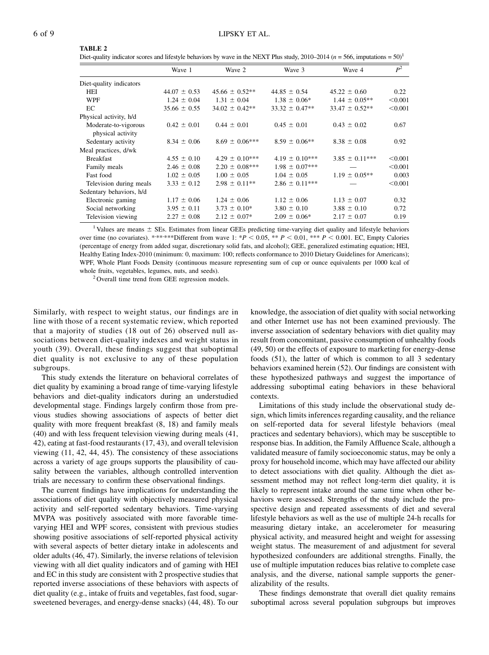#### TABLE 2

Diet-quality indicator scores and lifestyle behaviors by wave in the NEXT Plus study, 2010–2014 ( $n = 566$ , imputations =  $50<sup>1</sup>$ 

|                                           | Wave 1           | Wave 2             | Wave 3             | Wave 4             | $P^2$   |
|-------------------------------------------|------------------|--------------------|--------------------|--------------------|---------|
| Diet-quality indicators                   |                  |                    |                    |                    |         |
| <b>HEI</b>                                | $44.07 \pm 0.53$ | $45.66 \pm 0.52**$ | $44.85 \pm 0.54$   | $45.22 \pm 0.60$   | 0.22    |
| <b>WPF</b>                                | $1.24 \pm 0.04$  | $1.31 \pm 0.04$    | $1.38 \pm 0.06*$   | $1.44 \pm 0.05**$  | < 0.001 |
| EC                                        | $35.66 \pm 0.55$ | $34.02 \pm 0.42**$ | $33.32 \pm 0.47**$ | $33.47 \pm 0.52**$ | < 0.001 |
| Physical activity, h/d                    |                  |                    |                    |                    |         |
| Moderate-to-vigorous<br>physical activity | $0.42 \pm 0.01$  | $0.44 \pm 0.01$    | $0.45 \pm 0.01$    | $0.43 \pm 0.02$    | 0.67    |
| Sedentary activity                        | $8.34 \pm 0.06$  | $8.69 \pm 0.06***$ | $8.59 \pm 0.06**$  | $8.38 \pm 0.08$    | 0.92    |
| Meal practices, d/wk                      |                  |                    |                    |                    |         |
| <b>Breakfast</b>                          | $4.55 \pm 0.10$  | $4.29 \pm 0.10***$ | $4.19 \pm 0.10***$ | $3.85 \pm 0.11***$ | < 0.001 |
| Family meals                              | $2.46 \pm 0.08$  | $2.20 \pm 0.08***$ | $1.98 \pm 0.07***$ |                    | < 0.001 |
| Fast food                                 | $1.02 \pm 0.05$  | $1.00 \pm 0.05$    | $1.04 \pm 0.05$    | $1.19 \pm 0.05**$  | 0.003   |
| Television during meals                   | $3.33 \pm 0.12$  | $2.98 \pm 0.11**$  | $2.86 \pm 0.11***$ |                    | < 0.001 |
| Sedentary behaviors, h/d                  |                  |                    |                    |                    |         |
| Electronic gaming                         | $1.17 \pm 0.06$  | $1.24 \pm 0.06$    | $1.12 \pm 0.06$    | $1.13 \pm 0.07$    | 0.32    |
| Social networking                         | $3.95 \pm 0.11$  | $3.73 \pm 0.10^*$  | $3.80 \pm 0.10$    | $3.88 \pm 0.10$    | 0.72    |
| Television viewing                        | $2.27 \pm 0.08$  | $2.12 \pm 0.07*$   | $2.09 \pm 0.06*$   | $2.17 \pm 0.07$    | 0.19    |

<sup>1</sup> Values are means  $\pm$  SEs. Estimates from linear GEEs predicting time-varying diet quality and lifestyle behaviors over time (no covariates). \*\*\*\*\*\*Different from wave 1: \* $P < 0.05$ , \*\*  $P < 0.01$ , \*\*\*  $P < 0.001$ . EC, Empty Calories (percentage of energy from added sugar, discretionary solid fats, and alcohol); GEE, generalized estimating equation; HEI, Healthy Eating Index-2010 (minimum: 0, maximum: 100; reflects conformance to 2010 Dietary Guidelines for Americans); WPF, Whole Plant Foods Density (continuous measure representing sum of cup or ounce equivalents per 1000 kcal of whole fruits, vegetables, legumes, nuts, and seeds).<br><sup>2</sup> Overall time trend from GEE regression models.

Similarly, with respect to weight status, our findings are in line with those of a recent systematic review, which reported that a majority of studies (18 out of 26) observed null associations between diet-quality indexes and weight status in youth (39). Overall, these findings suggest that suboptimal diet quality is not exclusive to any of these population subgroups.

This study extends the literature on behavioral correlates of diet quality by examining a broad range of time-varying lifestyle behaviors and diet-quality indicators during an understudied developmental stage. Findings largely confirm those from previous studies showing associations of aspects of better diet quality with more frequent breakfast (8, 18) and family meals (40) and with less frequent television viewing during meals (41, 42), eating at fast-food restaurants (17, 43), and overall television viewing (11, 42, 44, 45). The consistency of these associations across a variety of age groups supports the plausibility of causality between the variables, although controlled intervention trials are necessary to confirm these observational findings.

The current findings have implications for understanding the associations of diet quality with objectively measured physical activity and self-reported sedentary behaviors. Time-varying MVPA was positively associated with more favorable timevarying HEI and WPF scores, consistent with previous studies showing positive associations of self-reported physical activity with several aspects of better dietary intake in adolescents and older adults (46, 47). Similarly, the inverse relations of television viewing with all diet quality indicators and of gaming with HEI and EC in this study are consistent with 2 prospective studies that reported inverse associations of these behaviors with aspects of diet quality (e.g., intake of fruits and vegetables, fast food, sugarsweetened beverages, and energy-dense snacks) (44, 48). To our

knowledge, the association of diet quality with social networking and other Internet use has not been examined previously. The inverse association of sedentary behaviors with diet quality may result from concomitant, passive consumption of unhealthy foods (49, 50) or the effects of exposure to marketing for energy-dense foods (51), the latter of which is common to all 3 sedentary behaviors examined herein (52). Our findings are consistent with these hypothesized pathways and suggest the importance of addressing suboptimal eating behaviors in these behavioral contexts.

Limitations of this study include the observational study design, which limits inferences regarding causality, and the reliance on self-reported data for several lifestyle behaviors (meal practices and sedentary behaviors), which may be susceptible to response bias. In addition, the Family Affluence Scale, although a validated measure of family socioeconomic status, may be only a proxy for household income, which may have affected our ability to detect associations with diet quality. Although the diet assessment method may not reflect long-term diet quality, it is likely to represent intake around the same time when other behaviors were assessed. Strengths of the study include the prospective design and repeated assessments of diet and several lifestyle behaviors as well as the use of multiple 24-h recalls for measuring dietary intake, an accelerometer for measuring physical activity, and measured height and weight for assessing weight status. The measurement of and adjustment for several hypothesized confounders are additional strengths. Finally, the use of multiple imputation reduces bias relative to complete case analysis, and the diverse, national sample supports the generalizability of the results.

These findings demonstrate that overall diet quality remains suboptimal across several population subgroups but improves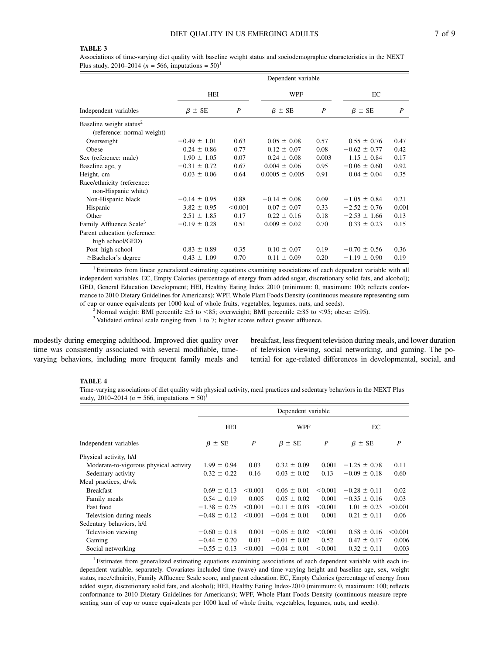# TABLE 3

Associations of time-varying diet quality with baseline weight status and sociodemographic characteristics in the NEXT Plus study, 2010–2014 ( $n = 566$ , imputations = 50)<sup>1</sup>

| Independent variables                                             | Dependent variable |         |                    |                  |                  |       |
|-------------------------------------------------------------------|--------------------|---------|--------------------|------------------|------------------|-------|
|                                                                   | HEI                |         | WPF                |                  | EC               |       |
|                                                                   | $\beta \pm SE$     | P       | $\beta \pm SE$     | $\boldsymbol{P}$ | $\beta \pm SE$   | P     |
| Baseline weight status <sup>2</sup><br>(reference: normal weight) |                    |         |                    |                  |                  |       |
| Overweight                                                        | $-0.49 \pm 1.01$   | 0.63    | $0.05 \pm 0.08$    | 0.57             | $0.55 \pm 0.76$  | 0.47  |
| Obese                                                             | $0.24 \pm 0.86$    | 0.77    | $0.12 \pm 0.07$    | 0.08             | $-0.62 \pm 0.77$ | 0.42  |
| Sex (reference: male)                                             | $1.90 \pm 1.05$    | 0.07    | $0.24 \pm 0.08$    | 0.003            | $1.15 \pm 0.84$  | 0.17  |
| Baseline age, y                                                   | $-0.31 \pm 0.72$   | 0.67    | $0.004 \pm 0.06$   | 0.95             | $-0.06 \pm 0.60$ | 0.92  |
| Height, cm                                                        | $0.03 \pm 0.06$    | 0.64    | $0.0005 \pm 0.005$ | 0.91             | $0.04 \pm 0.04$  | 0.35  |
| Race/ethnicity (reference:<br>non-Hispanic white)                 |                    |         |                    |                  |                  |       |
| Non-Hispanic black                                                | $-0.14 \pm 0.95$   | 0.88    | $-0.14 \pm 0.08$   | 0.09             | $-1.05 \pm 0.84$ | 0.21  |
| Hispanic                                                          | $3.82 \pm 0.95$    | < 0.001 | $0.07 \pm 0.07$    | 0.33             | $-2.52 \pm 0.76$ | 0.001 |
| Other                                                             | $2.51 \pm 1.85$    | 0.17    | $0.22 \pm 0.16$    | 0.18             | $-2.53 \pm 1.66$ | 0.13  |
| Family Affluence Scale <sup>3</sup>                               | $-0.19 \pm 0.28$   | 0.51    | $0.009 \pm 0.02$   | 0.70             | $0.33 \pm 0.23$  | 0.15  |
| Parent education (reference:<br>high school/GED)                  |                    |         |                    |                  |                  |       |
| Post-high school                                                  | $0.83 \pm 0.89$    | 0.35    | $0.10 \pm 0.07$    | 0.19             | $-0.70 \pm 0.56$ | 0.36  |
| $\geq$ Bachelor's degree                                          | $0.43 \pm 1.09$    | 0.70    | $0.11 \pm 0.09$    | 0.20             | $-1.19 \pm 0.90$ | 0.19  |

<sup>1</sup> Estimates from linear generalized estimating equations examining associations of each dependent variable with all independent variables. EC, Empty Calories (percentage of energy from added sugar, discretionary solid fats, and alcohol); GED, General Education Development; HEI, Healthy Eating Index 2010 (minimum: 0, maximum: 100; reflects conformance to 2010 Dietary Guidelines for Americans); WPF, Whole Plant Foods Density (continuous measure representing sum of cup or ounce equivalents per 1000 kcal of whole fruits, vegetables, legumes, nuts, and seeds). <sup>2</sup> Normal weight: BMI percentile  $\geq 5$  to  $\lt 85$ ; overweight; BMI percentile  $\geq 85$  to  $\lt 95$ ; obese:  $\geq 95$ ).

<sup>3</sup> Validated ordinal scale ranging from 1 to 7; higher scores reflect greater affluence.

modestly during emerging adulthood. Improved diet quality over time was consistently associated with several modifiable, timevarying behaviors, including more frequent family meals and

breakfast, less frequent television during meals, and lower duration of television viewing, social networking, and gaming. The potential for age-related differences in developmental, social, and

#### TABLE 4

Time-varying associations of diet quality with physical activity, meal practices and sedentary behaviors in the NEXT Plus study, 2010–2014 ( $n = 566$ , imputations = 50)<sup>1</sup>

|                                        | Dependent variable |         |                  |                  |                  |                  |
|----------------------------------------|--------------------|---------|------------------|------------------|------------------|------------------|
|                                        | HEI                |         | WPF              |                  | ЕC               |                  |
| Independent variables                  | $\beta \pm SE$     | P       | $\beta \pm SE$   | $\boldsymbol{P}$ | $\beta \pm SE$   | $\boldsymbol{P}$ |
| Physical activity, h/d                 |                    |         |                  |                  |                  |                  |
| Moderate-to-vigorous physical activity | $1.99 \pm 0.94$    | 0.03    | $0.32 \pm 0.09$  | 0.001            | $-1.25 \pm 0.78$ | 0.11             |
| Sedentary activity                     | $0.32 \pm 0.22$    | 0.16    | $0.03 \pm 0.02$  | 0.13             | $-0.09 \pm 0.18$ | 0.60             |
| Meal practices, d/wk                   |                    |         |                  |                  |                  |                  |
| <b>Breakfast</b>                       | $0.69 \pm 0.13$    | < 0.001 | $0.06 \pm 0.01$  | < 0.001          | $-0.28 \pm 0.11$ | 0.02             |
| Family meals                           | $0.54 \pm 0.19$    | 0.005   | $0.05 \pm 0.02$  | 0.001            | $-0.35 \pm 0.16$ | 0.03             |
| Fast food                              | $-1.38 \pm 0.25$   | < 0.001 | $-0.11 \pm 0.03$ | < 0.001          | $1.01 \pm 0.23$  | < 0.001          |
| Television during meals                | $-0.48 \pm 0.12$   | < 0.001 | $-0.04 \pm 0.01$ | 0.001            | $0.21 \pm 0.11$  | 0.06             |
| Sedentary behaviors, h/d               |                    |         |                  |                  |                  |                  |
| Television viewing                     | $-0.60 \pm 0.18$   | 0.001   | $-0.06 \pm 0.02$ | < 0.001          | $0.58 \pm 0.16$  | < 0.001          |
| Gaming                                 | $-0.44 \pm 0.20$   | 0.03    | $-0.01 \pm 0.02$ | 0.52             | $0.47 \pm 0.17$  | 0.006            |
| Social networking                      | $-0.55 \pm 0.13$   | < 0.001 | $-0.04 \pm 0.01$ | < 0.001          | $0.32 \pm 0.11$  | 0.003            |

<sup>1</sup> Estimates from generalized estimating equations examining associations of each dependent variable with each independent variable, separately. Covariates included time (wave) and time-varying height and baseline age, sex, weight status, race/ethnicity, Family Affluence Scale score, and parent education. EC, Empty Calories (percentage of energy from added sugar, discretionary solid fats, and alcohol); HEI, Healthy Eating Index-2010 (minimum: 0, maximum: 100; reflects conformance to 2010 Dietary Guidelines for Americans); WPF, Whole Plant Foods Density (continuous measure representing sum of cup or ounce equivalents per 1000 kcal of whole fruits, vegetables, legumes, nuts, and seeds).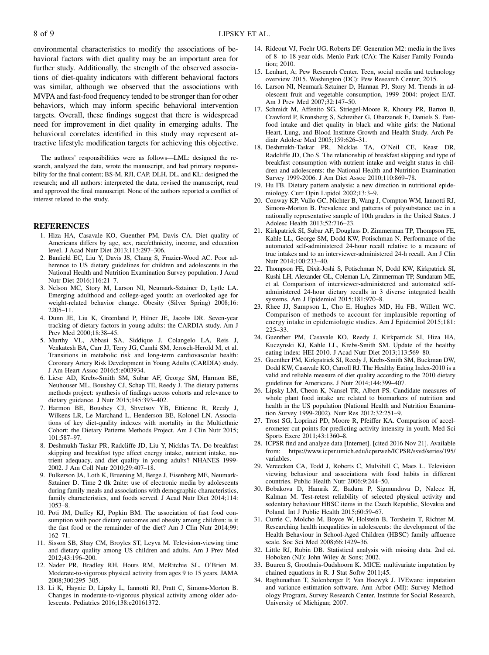environmental characteristics to modify the associations of behavioral factors with diet quality may be an important area for further study. Additionally, the strength of the observed associations of diet-quality indicators with different behavioral factors was similar, although we observed that the associations with MVPA and fast-food frequency tended to be stronger than for other behaviors, which may inform specific behavioral intervention targets. Overall, these findings suggest that there is widespread need for improvement in diet quality in emerging adults. The behavioral correlates identified in this study may represent attractive lifestyle modification targets for achieving this objective.

The authors' responsibilities were as follows—LML: designed the research, analyzed the data, wrote the manuscript, and had primary responsibility for the final content; BS-M, RJI, CAP, DLH, DL, and KL: designed the research; and all authors: interpreted the data, revised the manuscript, read and approved the final manuscript. None of the authors reported a conflict of interest related to the study.

#### REFERENCES

- 1. Hiza HA, Casavale KO, Guenther PM, Davis CA. Diet quality of Americans differs by age, sex, race/ethnicity, income, and education level. J Acad Nutr Diet 2013;113:297–306.
- 2. Banfield EC, Liu Y, Davis JS, Chang S, Frazier-Wood AC. Poor adherence to US dietary guidelines for children and adolescents in the National Health and Nutrition Examination Survey population. J Acad Nutr Diet 2016;116:21–7.
- 3. Nelson MC, Story M, Larson NI, Neumark-Sztainer D, Lytle LA. Emerging adulthood and college-aged youth: an overlooked age for weight-related behavior change. Obesity (Silver Spring) 2008;16: 2205–11.
- 4. Dunn JE, Liu K, Greenland P, Hilner JE, Jacobs DR. Seven-year tracking of dietary factors in young adults: the CARDIA study. Am J Prev Med 2000;18:38–45.
- 5. Murthy VL, Abbasi SA, Siddique J, Colangelo LA, Reis J, Venkatesh BA, Carr JJ, Terry JG, Camhi SM, Jerosch-Herold M, et al. Transitions in metabolic risk and long-term cardiovascular health: Coronary Artery Risk Development in Young Adults (CARDIA) study. J Am Heart Assoc 2016;5:e003934.
- 6. Liese AD, Krebs-Smith SM, Subar AF, George SM, Harmon BE, Neuhouser ML, Boushey CJ, Schap TE, Reedy J. The dietary patterns methods project: synthesis of findings across cohorts and relevance to dietary guidance. J Nutr 2015;145:393–402.
- 7. Harmon BE, Boushey CJ, Shvetsov YB, Ettienne R, Reedy J, Wilkens LR, Le Marchand L, Henderson BE, Kolonel LN. Associations of key diet-quality indexes with mortality in the Multiethnic Cohort: the Dietary Patterns Methods Project. Am J Clin Nutr 2015; 101:587–97.
- 8. Deshmukh-Taskar PR, Radcliffe JD, Liu Y, Nicklas TA. Do breakfast skipping and breakfast type affect energy intake, nutrient intake, nutrient adequacy, and diet quality in young adults? NHANES 1999- 2002. J Am Coll Nutr 2010;29:407–18.
- 9. Fulkerson JA, Loth K, Bruening M, Berge J, Eisenberg ME, Neumark-Sztainer D. Time 2 tlk 2nite: use of electronic media by adolescents during family meals and associations with demographic characteristics, family characteristics, and foods served. J Acad Nutr Diet 2014;114: 1053–8.
- 10. Poti JM, Duffey KJ, Popkin BM. The association of fast food consumption with poor dietary outcomes and obesity among children: is it the fast food or the remainder of the diet? Am J Clin Nutr 2014;99: 162–71.
- 11. Sisson SB, Shay CM, Broyles ST, Leyva M. Television-viewing time and dietary quality among US children and adults. Am J Prev Med 2012;43:196–200.
- 12. Nader PR, Bradley RH, Houts RM, McRitchie SL, O'Brien M. Moderate-to-vigorous physical activity from ages 9 to 15 years. JAMA 2008;300:295–305.
- 13. Li K, Haynie D, Lipsky L, Iannotti RJ, Pratt C, Simons-Morton B. Changes in moderate-to-vigorous physical activity among older adolescents. Pediatrics 2016;138:e20161372.
- 14. Rideout VJ, Foehr UG, Roberts DF. Generation M2: media in the lives of 8- to 18-year-olds. Menlo Park (CA): The Kaiser Family Foundation; 2010.
- 15. Lenhart, A; Pew Research Center. Teen, social media and technology overview 2015. Washington (DC): Pew Research Center; 2015.
- 16. Larson NI, Neumark-Sztainer D, Hannan PJ, Story M. Trends in adolescent fruit and vegetable consumption, 1999–2004: project EAT. Am J Prev Med 2007;32:147–50.
- 17. Schmidt M, Affenito SG, Striegel-Moore R, Khoury PR, Barton B, Crawford P, Kronsberg S, Schreiber G, Obarzanek E, Daniels S. Fastfood intake and diet quality in black and white girls: the National Heart, Lung, and Blood Institute Growth and Health Study. Arch Pediatr Adolesc Med 2005;159:626–31.
- 18. Deshmukh-Taskar PR, Nicklas TA, O'Neil CE, Keast DR, Radcliffe JD, Cho S. The relationship of breakfast skipping and type of breakfast consumption with nutrient intake and weight status in children and adolescents: the National Health and Nutrition Examination Survey 1999-2006. J Am Diet Assoc 2010;110:869–78.
- 19. Hu FB. Dietary pattern analysis: a new direction in nutritional epidemiology. Curr Opin Lipidol 2002;13:3–9.
- 20. Conway KP, Vullo GC, Nichter B, Wang J, Compton WM, Iannotti RJ, Simons-Morton B. Prevalence and patterns of polysubstance use in a nationally representative sample of 10th graders in the United States. J Adolesc Health 2013;52:716–23.
- 21. Kirkpatrick SI, Subar AF, Douglass D, Zimmerman TP, Thompson FE, Kahle LL, George SM, Dodd KW, Potischman N. Performance of the automated self-administered 24-hour recall relative to a measure of true intakes and to an interviewer-administered 24-h recall. Am J Clin Nutr 2014;100:233–40.
- 22. Thompson FE, Dixit-Joshi S, Potischman N, Dodd KW, Kirkpatrick SI, Kushi LH, Alexander GL, Coleman LA, Zimmerman TP, Sundaram ME, et al. Comparison of interviewer-administered and automated selfadministered 24-hour dietary recalls in 3 diverse integrated health systems. Am J Epidemiol 2015;181:970–8.
- 23. Rhee JJ, Sampson L, Cho E, Hughes MD, Hu FB, Willett WC. Comparison of methods to account for implausible reporting of energy intake in epidemiologic studies. Am J Epidemiol 2015;181: 225–33.
- 24. Guenther PM, Casavale KO, Reedy J, Kirkpatrick SI, Hiza HA, Kuczynski KJ, Kahle LL, Krebs-Smith SM. Update of the healthy eating index: HEI-2010. J Acad Nutr Diet 2013;113:569–80.
- 25. Guenther PM, Kirkpatrick SI, Reedy J, Krebs-Smith SM, Buckman DW, Dodd KW, Casavale KO, Carroll RJ. The Healthy Eating Index-2010 is a valid and reliable measure of diet quality according to the 2010 dietary guidelines for Americans. J Nutr 2014;144:399–407.
- 26. Lipsky LM, Cheon K, Nansel TR, Albert PS. Candidate measures of whole plant food intake are related to biomarkers of nutrition and health in the US population (National Health and Nutrition Examination Survey 1999-2002). Nutr Res 2012;32:251–9.
- 27. Trost SG, Loprinzi PD, Moore R, Pfeiffer KA. Comparison of accelerometer cut points for predicting activity intensity in youth. Med Sci Sports Exerc 2011;43:1360–8.
- 28. ICPSR find and analyze data [Internet]. [cited 2016 Nov 21]. Available from: [https://www.icpsr.umich.edu/icpsrweb/ICPSR/ssvd/series/195/](https://www.icpsr.umich.edu/icpsrweb/ICPSR/ssvd/series/195/variables) [variables.](https://www.icpsr.umich.edu/icpsrweb/ICPSR/ssvd/series/195/variables)
- 29. Vereecken CA, Todd J, Roberts C, Mulvihill C, Maes L. Television viewing behaviour and associations with food habits in different countries. Public Health Nutr 2006;9:244–50.
- 30. Bobakova D, Hamrik Z, Badura P, Sigmundova D, Nalecz H, Kalman M. Test-retest reliability of selected physical activity and sedentary behaviour HBSC items in the Czech Republic, Slovakia and Poland. Int J Public Health 2015;60:59–67.
- 31. Currie C, Molcho M, Boyce W, Holstein B, Torsheim T, Richter M. Researching health inequalities in adolescents: the development of the Health Behaviour in School-Aged Children (HBSC) family affluence scale. Soc Sci Med 2008;66:1429–36.
- 32. Little RJ, Rubin DB. Statistical analysis with missing data. 2nd ed. Hoboken (NJ): John Wiley & Sons; 2002.
- 33. Buuren S, Groothuis-Oudshoorn K. MICE: multivariate imputation by chained equations in R. J Stat Softw 2011;45.
- 34. Raghunathan T, Solenberger P, Van Hoewyk J. IVEware: imputation and variance estimation software. Ann Arbor (MI): Survey Methodology Program, Survey Research Center, Institute for Social Research, University of Michigan; 2007.